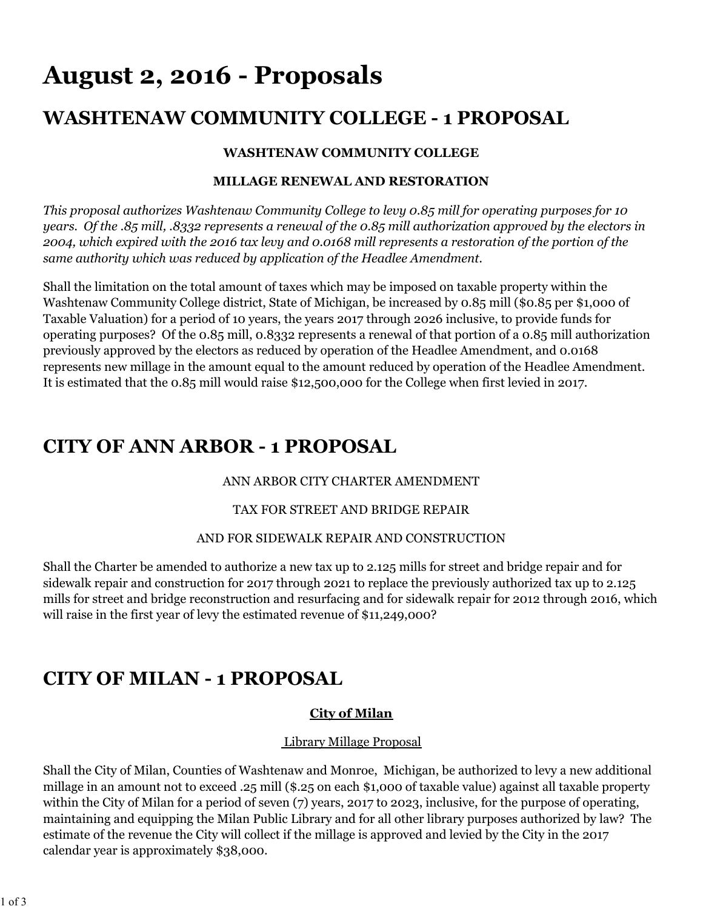# **August 2, 2016 - Proposals**

# **WASHTENAW COMMUNITY COLLEGE - 1 PROPOSAL**

#### **WASHTENAW COMMUNITY COLLEGE**

#### **MILLAGE RENEWAL AND RESTORATION**

*This proposal authorizes Washtenaw Community College to levy 0.85 mill for operating purposes for 10 years. Of the .85 mill, .8332 represents a renewal of the 0.85 mill authorization approved by the electors in 2004, which expired with the 2016 tax levy and 0.0168 mill represents a restoration of the portion of the same authority which was reduced by application of the Headlee Amendment.*

Shall the limitation on the total amount of taxes which may be imposed on taxable property within the Washtenaw Community College district, State of Michigan, be increased by 0.85 mill (\$0.85 per \$1,000 of Taxable Valuation) for a period of 10 years, the years 2017 through 2026 inclusive, to provide funds for operating purposes? Of the 0.85 mill, 0.8332 represents a renewal of that portion of a 0.85 mill authorization previously approved by the electors as reduced by operation of the Headlee Amendment, and 0.0168 represents new millage in the amount equal to the amount reduced by operation of the Headlee Amendment. It is estimated that the 0.85 mill would raise \$12,500,000 for the College when first levied in 2017.

### **CITY OF ANN ARBOR - 1 PROPOSAL**

#### ANN ARBOR CITY CHARTER AMENDMENT

#### TAX FOR STREET AND BRIDGE REPAIR

#### AND FOR SIDEWALK REPAIR AND CONSTRUCTION

Shall the Charter be amended to authorize a new tax up to 2.125 mills for street and bridge repair and for sidewalk repair and construction for 2017 through 2021 to replace the previously authorized tax up to 2.125 mills for street and bridge reconstruction and resurfacing and for sidewalk repair for 2012 through 2016, which will raise in the first year of levy the estimated revenue of \$11,249,000?

# **CITY OF MILAN - 1 PROPOSAL**

#### **City of Milan**

#### Library Millage Proposal

Shall the City of Milan, Counties of Washtenaw and Monroe, Michigan, be authorized to levy a new additional millage in an amount not to exceed .25 mill (\$.25 on each \$1,000 of taxable value) against all taxable property within the City of Milan for a period of seven (7) years, 2017 to 2023, inclusive, for the purpose of operating, maintaining and equipping the Milan Public Library and for all other library purposes authorized by law? The estimate of the revenue the City will collect if the millage is approved and levied by the City in the 2017 calendar year is approximately \$38,000.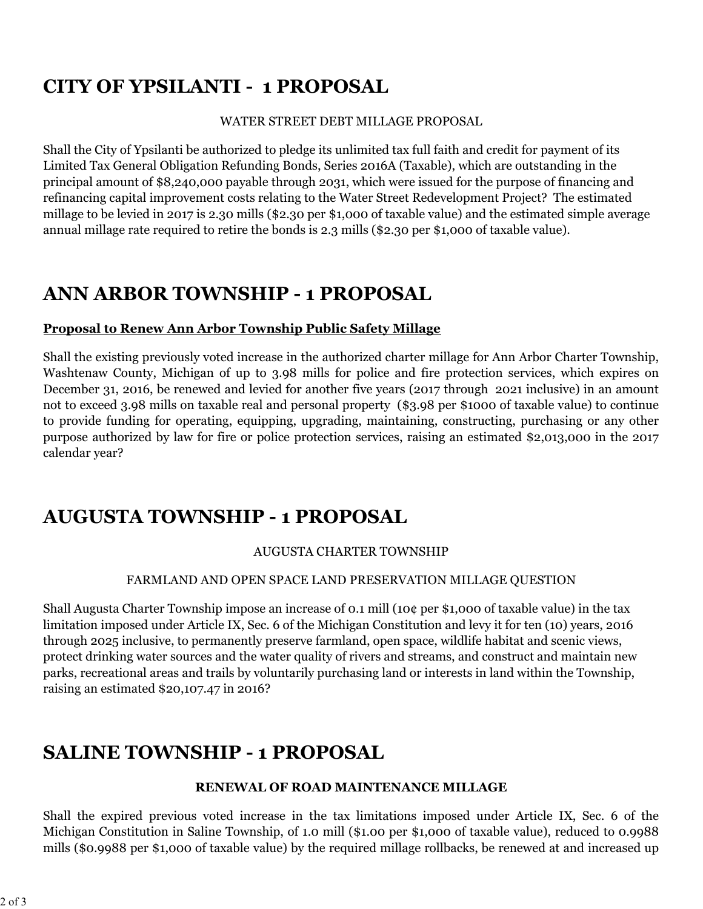# **CITY OF YPSILANTI - 1 PROPOSAL**

#### WATER STREET DEBT MILLAGE PROPOSAL

Shall the City of Ypsilanti be authorized to pledge its unlimited tax full faith and credit for payment of its Limited Tax General Obligation Refunding Bonds, Series 2016A (Taxable), which are outstanding in the principal amount of \$8,240,000 payable through 2031, which were issued for the purpose of financing and refinancing capital improvement costs relating to the Water Street Redevelopment Project? The estimated millage to be levied in 2017 is 2.30 mills (\$2.30 per \$1,000 of taxable value) and the estimated simple average annual millage rate required to retire the bonds is 2.3 mills (\$2.30 per \$1,000 of taxable value).

### **ANN ARBOR TOWNSHIP - 1 PROPOSAL**

#### **Proposal to Renew Ann Arbor Township Public Safety Millage**

Shall the existing previously voted increase in the authorized charter millage for Ann Arbor Charter Township, Washtenaw County, Michigan of up to 3.98 mills for police and fire protection services, which expires on December 31, 2016, be renewed and levied for another five years (2017 through 2021 inclusive) in an amount not to exceed 3.98 mills on taxable real and personal property (\$3.98 per \$1000 of taxable value) to continue to provide funding for operating, equipping, upgrading, maintaining, constructing, purchasing or any other purpose authorized by law for fire or police protection services, raising an estimated \$2,013,000 in the 2017 calendar year?

### **AUGUSTA TOWNSHIP - 1 PROPOSAL**

#### AUGUSTA CHARTER TOWNSHIP

#### FARMLAND AND OPEN SPACE LAND PRESERVATION MILLAGE QUESTION

Shall Augusta Charter Township impose an increase of 0.1 mill (10¢ per \$1,000 of taxable value) in the tax limitation imposed under Article IX, Sec. 6 of the Michigan Constitution and levy it for ten (10) years, 2016 through 2025 inclusive, to permanently preserve farmland, open space, wildlife habitat and scenic views, protect drinking water sources and the water quality of rivers and streams, and construct and maintain new parks, recreational areas and trails by voluntarily purchasing land or interests in land within the Township, raising an estimated \$20,107.47 in 2016?

# **SALINE TOWNSHIP - 1 PROPOSAL**

#### **RENEWAL OF ROAD MAINTENANCE MILLAGE**

Shall the expired previous voted increase in the tax limitations imposed under Article IX, Sec. 6 of the Michigan Constitution in Saline Township, of 1.0 mill (\$1.00 per \$1,000 of taxable value), reduced to 0.9988 mills (\$0.9988 per \$1,000 of taxable value) by the required millage rollbacks, be renewed at and increased up